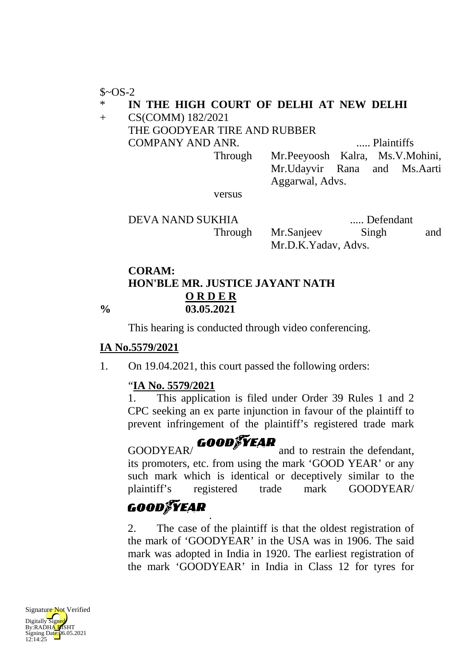$$~-OS-2$$ 

#### \* **IN THE HIGH COURT OF DELHI AT NEW DELHI**

#### + CS(COMM) 182/2021

## THE GOODYEAR TIRE AND RUBBER COMPANY AND ANR. ..... Plaintiffs Through Mr.Peeyoosh Kalra, Ms.V.Mohini, Mr.Udayvir Rana and Ms.Aarti

Aggarwal, Advs.

versus

DEVA NAND SUKHIA ..... Defendant Through Mr.Sanjeev Singh and Mr.D.K.Yadav, Advs.

## **CORAM: HON'BLE MR. JUSTICE JAYANT NATH % 03.05.2021 O R D E R**

This hearing is conducted through video conferencing.

## **IA No.5579/2021**

1. On 19.04.2021, this court passed the following orders:

## " **IA No. 5579/2021**

1. This application is filed under Order 39 Rules 1 and 2 CPC seeking an ex parte injunction in favour of the plaintiff to prevent infringement of the plaintiff's registered trade mark

### GOODYEAR/ GOODFYEAR and to restrain the defendant, its promoters, etc. from using the mark 'GOOD YEAR' or any such mark which is identical or deceptively similar to the plaintiff's registered trade mark GOODYEAR/

# **GOOD FEAR**

.

2. The case of the plaintiff is that the oldest registration of the mark of 'GOODYEAR' in the USA was in 1906. The said mark was adopted in India in 1920. The earliest registration of the mark 'GOODYEAR' in India in Class 12 for tyres for

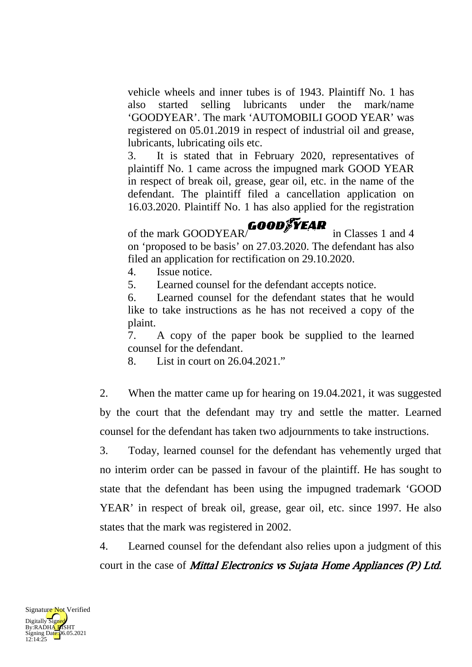vehicle wheels and inner tubes is of 1943. Plaintiff No. 1 has also started selling lubricants under the mark/name 'GOODYEAR'. The mark 'AUTOMOBILI GOOD YEAR' was registered on 05.01.2019 in respect of industrial oil and grease, lubricants, lubricating oils etc.

3. It is stated that in February 2020, representatives of plaintiff No. 1 came across the impugned mark GOOD YEAR in respect of break oil, grease, gear oil, etc. in the name of the defendant. The plaintiff filed a cancellation application on 16.03.2020. Plaintiff No. 1 has also applied for the registration

of the mark GOODYEAR/ **GOOD**<sup>F</sup>  $\overline{Y}$  **EAR** in Classes 1 and 4 on 'proposed to be basis' on 27.03.2020. The defendant has also filed an application for rectification on 29.10.2020.

4. Issue notice.

5. Learned counsel for the defendant accepts notice.

6. Learned counsel for the defendant states that he would like to take instructions as he has not received a copy of the plaint.

7. A copy of the paper book be supplied to the learned counsel for the defendant.

8. List in court on 26.04.2021."

2. When the matter came up for hearing on 19.04.2021, it was suggested by the court that the defendant may try and settle the matter. Learned counsel for the defendant has taken two adjournments to take instructions.

3. Today, learned counsel for the defendant has vehemently urged that no interim order can be passed in favour of the plaintiff. He has sought to state that the defendant has been using the impugned trademark 'GOOD YEAR' in respect of break oil, grease, gear oil, etc. since 1997. He also states that the mark was registered in 2002.

4. Learned counsel for the defendant also relies upon a judgment of this court in the case of *Mittal Electronics vs Sujata Home Appliances (P) Ltd.* 

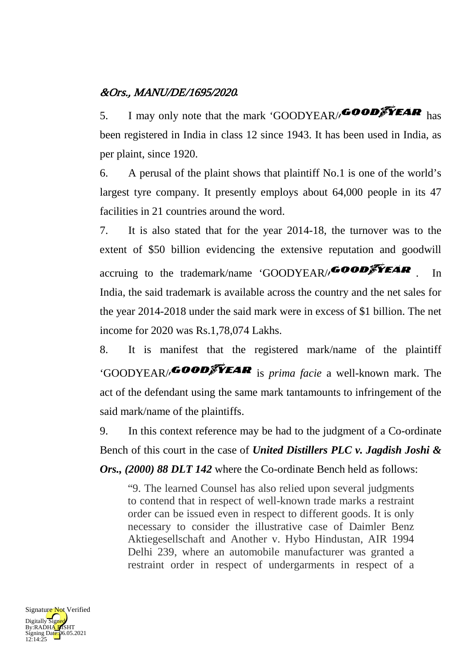## &Ors., MANU/DE/1695/2020*.*

5. I may only note that the mark 'GOODYEAR/ **GOOD** been registered in India in class 12 since 1943. It has been used in India, as per plaint, since 1920.

6. A perusal of the plaint shows that plaintiff No.1 is one of the world's largest tyre company. It presently employs about 64,000 people in its 47 facilities in 21 countries around the word.

7. It is also stated that for the year 2014-18, the turnover was to the extent of \$50 billion evidencing the extensive reputation and goodwill accruing to the trademark/name 'GOODYEAR/  $\overline{GOOD}$   $\overline{S}$   $\overline{Y}$   $\overline{F}$   $\overline{A}$   $\overline{R}$  . In India, the said trademark is available across the country and the net sales for the year 2014-2018 under the said mark were in excess of \$1 billion. The net income for 2020 was Rs.1,78,074 Lakhs.

8. It is manifest that the registered mark/name of the plaintiff 'GOODYEAR/<sub>1</sub>GOOD<sup>'</sup> *GOOD'*  $\mathbf{F}$  **EAR** is *prima facie* a well-known mark. The act of the defendant using the same mark tantamounts to infringement of the said mark/name of the plaintiffs.

9. In this context reference may be had to the judgment of a Co-ordinate Bench of this court in the case of *United Distillers PLC v. Jagdish Joshi & Ors., (2000) 88 DLT 142* where the Co-ordinate Bench held as follows:

"9. The learned Counsel has also relied upon several judgments to contend that in respect of well-known trade marks a restraint order can be issued even in respect to different goods. It is only necessary to consider the illustrative case of Daimler Benz Aktiegesellschaft and Another v. Hybo Hindustan, AIR 1994 Delhi 239, where an automobile manufacturer was granted a restraint order in respect of undergarments in respect of a

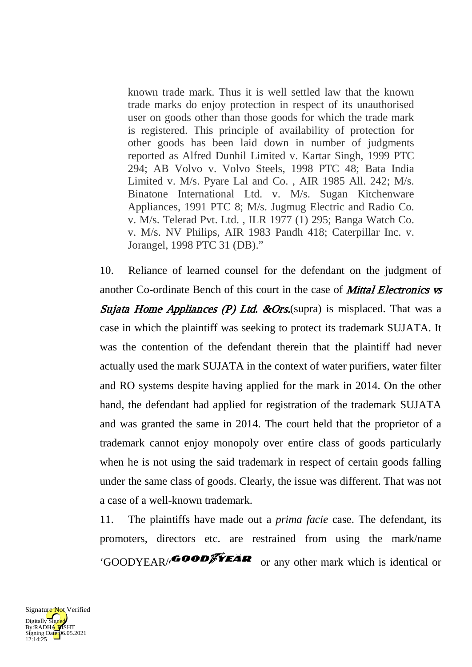known trade mark. Thus it is well settled law that the known trade marks do enjoy protection in respect of its unauthorised user on goods other than those goods for which the trade mark is registered. This principle of availability of protection for other goods has been laid down in number of judgments reported as Alfred Dunhil Limited v. Kartar Singh, 1999 PTC 294; AB Volvo v. Volvo Steels, 1998 PTC 48; Bata India Limited v. M/s. Pyare Lal and Co. , AIR 1985 All. 242; M/s. Binatone International Ltd. v. M/s. Sugan Kitchenware Appliances, 1991 PTC 8; M/s. Jugmug Electric and Radio Co. v. M/s. Telerad Pvt. Ltd. , ILR 1977 (1) 295; Banga Watch Co. v. M/s. NV Philips, AIR 1983 Pandh 418; Caterpillar Inc. v. Jorangel, 1998 PTC 31 (DB)."

10. Reliance of learned counsel for the defendant on the judgment of another Co-ordinate Bench of this court in the case of **Mittal Electronics vs** Sujata Home Appliances (P) Ltd.  $\&Ors$ . (supra) is misplaced. That was a case in which the plaintiff was seeking to protect its trademark SUJATA. It was the contention of the defendant therein that the plaintiff had never actually used the mark SUJATA in the context of water purifiers, water filter and RO systems despite having applied for the mark in 2014. On the other hand, the defendant had applied for registration of the trademark SUJATA and was granted the same in 2014. The court held that the proprietor of a trademark cannot enjoy monopoly over entire class of goods particularly when he is not using the said trademark in respect of certain goods falling under the same class of goods. Clearly, the issue was different. That was not a case of a well-known trademark.

11. The plaintiffs have made out a *prima facie* case. The defendant, its promoters, directors etc. are restrained from using the mark/name 'GOODYEAR/ $\epsilon$ OOD $\epsilon$ <sup>T</sup>EAR or any other mark which is identical or